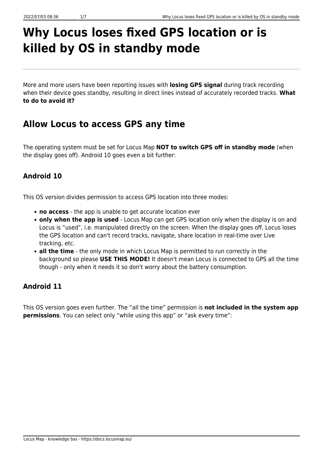# **Why Locus loses fixed GPS location or is killed by OS in standby mode**

More and more users have been reporting issues with **losing GPS signal** during track recording when their device goes standby, resulting in direct lines instead of accurately recorded tracks. **What to do to avoid it?**

# **Allow Locus to access GPS any time**

The operating system must be set for Locus Map **NOT to switch GPS off in standby mode** (when the display goes off). Android 10 goes even a bit further:

## **Android 10**

This OS version divides permission to access GPS location into three modes:

- **no access** the app is unable to get accurate location ever
- **only when the app is used** Locus Map can get GPS location only when the display is on and Locus is "used", i.e. manipulated directly on the screen. When the display goes off, Locus loses the GPS location and can't record tracks, navigate, share location in real-time over Live tracking, etc.
- **all the time** the only mode in which Locus Map is permitted to run correctly in the background so please **USE THIS MODE!** It doesn't mean Locus is connected to GPS all the time though - only when it needs it so don't worry about the battery consumption.

### **Android 11**

This OS version goes even further. The "all the time" permission is **not included in the system app permissions**. You can select only "while using this app" or "ask every time":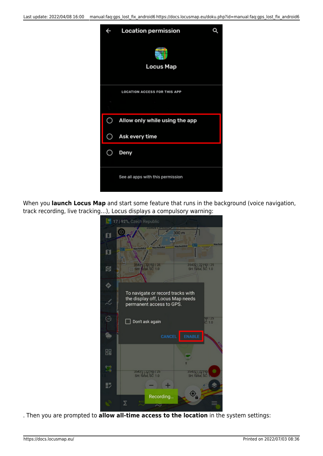| $\leftarrow$ | <b>Location permission</b>          |  |
|--------------|-------------------------------------|--|
|              | <b>Locus Map</b>                    |  |
|              | <b>LOCATION ACCESS FOR THIS APP</b> |  |
|              |                                     |  |
|              |                                     |  |
| C            | Allow only while using the app      |  |
|              | Ask every time                      |  |
|              | Deny                                |  |
|              | See all apps with this permission   |  |

When you **launch Locus Map** and start some feature that runs in the background (voice navigation, track recording, live tracking…), Locus displays a compulsory warning:



. Then you are prompted to **allow all-time access to the location** in the system settings: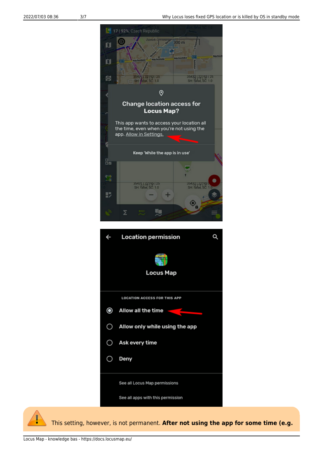

See all Locus Map permissions

See all apps with this permission



This setting, however, is not permanent. **After not using the app for some time (e.g.**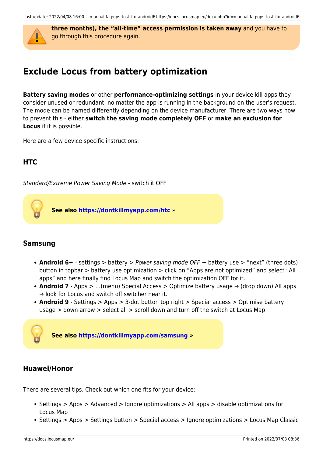

**three months), the "all-time" access permission is taken away** and you have to go through this procedure again.

# **Exclude Locus from battery optimization**

**Battery saving modes** or other **performance-optimizing settings** in your device kill apps they consider unused or redundant, no matter the app is running in the background on the user's request. The mode can be named differently depending on the device manufacturer. There are two ways how to prevent this - either **switch the saving mode completely OFF** or **make an exclusion for Locus** if it is possible.

Here are a few device specific instructions:

### **HTC**

Standard/Extreme Power Saving Mode - switch it OFF

**See also<https://dontkillmyapp.com/htc>»**

#### **Samsung**

- **Android 6+** settings > battery > Power saving mode OFF + battery use > "next" (three dots) button in topbar > battery use optimization > click on "Apps are not optimized" and select "All apps" and here finally find Locus Map and switch the optimization OFF for it.
- **Android 7** Apps > …(menu) Special Access > Optimize battery usage → (drop down) All apps → look for Locus and switch off switcher near it.
- **Android 9** Settings > Apps > 3-dot button top right > Special access > Optimise battery usage > down arrow > select all > scroll down and turn off the switch at Locus Map



#### **Huawei/Honor**

There are several tips. Check out which one fits for your device:

- Settings > Apps > Advanced > Ignore optimizations > All apps > disable optimizations for Locus Map
- Settings > Apps > Settings button > Special access > Ignore optimizations > Locus Map Classic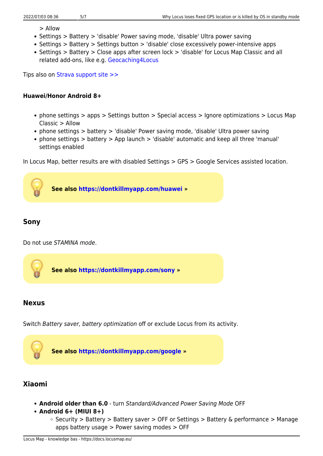> Allow

- Settings > Battery > 'disable' Power saving mode, 'disable' Ultra power saving
- Settings > Battery > Settings button > 'disable' close excessively power-intensive apps
- Settings > Battery > Close apps after screen lock > 'disable' for Locus Map Classic and all related add-ons, like e.g. [Geocaching4Locus](https://docs.locusmap.eu/doku.php?id=manual:user_guide:geocaching:import)

Tips also on [Strava support site >>](https://support.strava.com/hc/en-us/articles/216942547-How-to-fix-GPS-recording-issues-on-Huawei-phones)

#### **Huawei/Honor Android 8+**

- phone settings > apps > Settings button > Special access > Ignore optimizations > Locus Map Classic > Allow
- phone settings > battery > 'disable' Power saving mode, 'disable' Ultra power saving
- phone settings > battery > App launch > 'disable' automatic and keep all three 'manual' settings enabled

In Locus Map, better results are with disabled Settings > GPS > Google Services assisted location.



#### **Sony**

Do not use STAMINA mode.



#### **Nexus**

Switch Battery saver, battery optimization off or exclude Locus from its activity.



#### **Xiaomi**

- **Android older than 6.0** turn Standard/Advanced Power Saving Mode OFF
- **Android 6+ (MIUI 8+)**
	- $\circ$  Security > Battery > Battery saver > OFF or Settings > Battery & performance > Manage apps battery usage > Power saving modes > OFF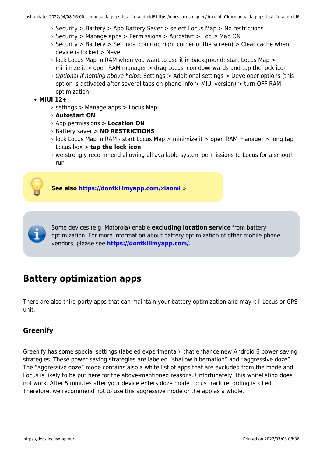- $\circ$  Security > Battery > App Battery Saver > select Locus Map > No restrictions
- $\circ$  Security > Manage apps > Permissions > Autostart > Locus Map ON
- $\circ$  Security > Battery > Settings icon (top right corner of the screen) > Clear cache when device is locked > Never
- $\circ$  lock Locus Map in RAM when you want to use it in background: start Locus Map  $>$ minimize it > open RAM manager > drag Locus icon downwards and tap the lock icon
- o Optional if nothing above helps: Settings > Additional settings > Developer options (this option is activated after several taps on phone info > MIUI version) > turn OFF RAM optimization

#### **MIUI 12+**

- $\circ$  settings > Manage apps > Locus Map:
- **Autostart ON**
- App permissions > **Location ON**
- Battery saver > **NO RESTRICTIONS**
- $\circ$  lock Locus Map in RAM start Locus Map > minimize it > open RAM manager > long tap Locus box > **tap the lock icon**
- we strongly recommend allowing all available system permissions to Locus for a smooth run



**See also<https://dontkillmyapp.com/xiaomi> »**



Some devices (e.g. Motorola) enable **excluding location service** from battery optimization. For more information about battery optimization of other mobile phone vendors, please see **<https://dontkillmyapp.com/>**.

# **Battery optimization apps**

There are also third-party apps that can maintain your battery optimization and may kill Locus or GPS unit.

### **Greenify**

Greenify has some special settings (labeled experimental), that enhance new Android 6 power-saving strategies. These power-saving strategies are labeled "shallow hibernation" and "aggressive doze". The "aggressive doze" mode contains also a white list of apps that are excluded from the mode and Locus is likely to be put here for the above-mentioned reasons. Unfortunately, this whitelisting does not work. After 5 minutes after your device enters doze mode Locus track recording is killed. Therefore, we recommend not to use this aggressive mode or the app as a whole.